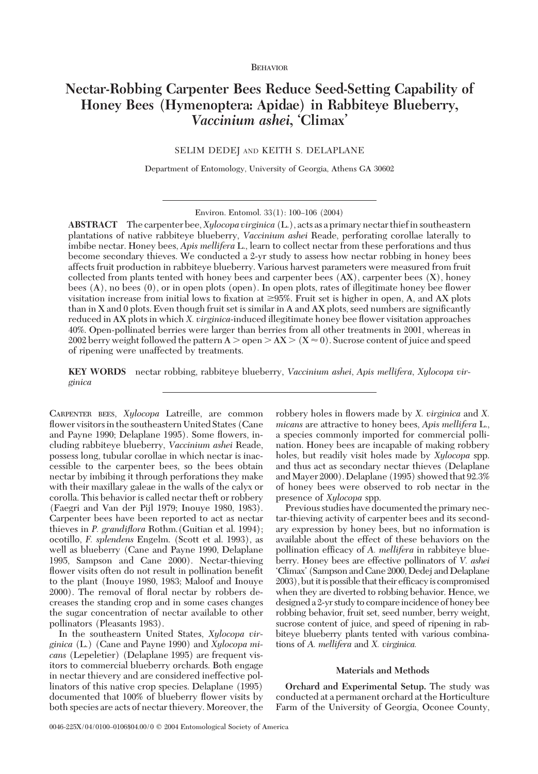# **Nectar-Robbing Carpenter Bees Reduce Seed-Setting Capability of Honey Bees (Hymenoptera: Apidae) in Rabbiteye Blueberry,** *Vaccinium ashei***, 'Climax'**

SELIM DEDEJ AND KEITH S. DELAPLANE

Department of Entomology, University of Georgia, Athens GA 30602

**ABSTRACT** The carpenter bee,*Xylocopa virginica* (L.), acts as a primary nectar thiefin southeastern plantations of native rabbiteye blueberry, *Vaccinium ashei* Reade, perforating corollae laterally to imbibe nectar. Honey bees, *Apis mellifera* L., learn to collect nectar from these perforations and thus become secondary thieves. We conducted a 2-yr study to assess how nectar robbing in honey bees affects fruit production in rabbiteye blueberry. Various harvest parameters were measured from fruit collected from plants tented with honey bees and carpenter bees  $(AX)$ , carpenter bees  $(X)$ , honey bees (A), no bees (0), or in open plots (open). In open plots, rates of illegitimate honey bee ßower visitation increase from initial lows to fixation at  $\geq$ 95%. Fruit set is higher in open, A, and AX plots than in X and 0 plots. Even though fruit set is similar in A and AX plots, seed numbers are significantly reduced in AX plots in which *X. virginica*-induced illegitimate honey bee ßower visitation approaches 40%. Open-pollinated berries were larger than berries from all other treatments in 2001, whereas in 2002 berry weight followed the pattern A  $>$  open  $>$  AX  $>($  X  $\approx$  0 $)$  . Sucrose content of juice and speed of ripening were unaffected by treatments.

**KEY WORDS** nectar robbing, rabbiteye blueberry, *Vaccinium ashei*, *Apis mellifera*, *Xylocopa virginica*

CARPENTER BEES, *Xylocopa* Latreille, are common flower visitors in the southeastern United States (Cane and Payne 1990; Delaplane 1995). Some ßowers, including rabbiteye blueberry, *Vaccinium ashei* Reade, possess long, tubular corollae in which nectar is inaccessible to the carpenter bees, so the bees obtain nectar by imbibing it through perforations they make with their maxillary galeae in the walls of the calyx or corolla. This behavior is called nectar theft or robbery (Faegri and Van der Pijl 1979; Inouye 1980, 1983). Carpenter bees have been reported to act as nectar thieves in *P. grandiflora* Rothm.(Guitian et al. 1994); ocotillo, *F. splendens* Engelm. (Scott et al. 1993), as well as blueberry (Cane and Payne 1990, Delaplane 1995, Sampson and Cane 2000). Nectar-thieving flower visits often do not result in pollination benefit to the plant (Inouye 1980, 1983; Maloof and Inouye 2000). The removal of ßoral nectar by robbers decreases the standing crop and in some cases changes the sugar concentration of nectar available to other pollinators (Pleasants 1983).

In the southeastern United States, *Xylocopa virginica* (L.) (Cane and Payne 1990) and *Xylocopa micans* (Lepeletier) (Delaplane 1995) are frequent visitors to commercial blueberry orchards. Both engage in nectar thievery and are considered ineffective pollinators of this native crop species. Delaplane (1995) documented that 100% of blueberry ßower visits by both species are acts of nectar thievery. Moreover, the robbery holes in ßowers made by *X. virginica* and *X. micans* are attractive to honey bees, *Apis mellifera* L., a species commonly imported for commercial pollination. Honey bees are incapable of making robbery holes, but readily visit holes made by *Xylocopa* spp. and thus act as secondary nectar thieves (Delaplane andMayer 2000). Delaplane (1995) showed that 92.3% of honey bees were observed to rob nectar in the presence of *Xylocopa* spp.

Previous studies have documented the primary nectar-thieving activity of carpenter bees and its secondary expression by honey bees, but no information is available about the effect of these behaviors on the pollination efficacy of *A. mellifera* in rabbiteye blueberry. Honey bees are effective pollinators of *V. ashei* 'Climax' (Sampson and Cane 2000, Dedej and Delaplane 2003), but it is possible that their efficacy is compromised when they are diverted to robbing behavior. Hence, we designed a 2-yr study to compareincidence of honey bee robbing behavior, fruit set, seed number, berry weight, sucrose content of juice, and speed of ripening in rabbiteye blueberry plants tented with various combinations of *A. mellifera* and *X. virginica.*

### **Materials and Methods**

**Orchard and Experimental Setup.** The study was conducted at a permanent orchard at the Horticulture Farm of the University of Georgia, Oconee County,

Environ. Entomol. 33(1): 100-106 (2004)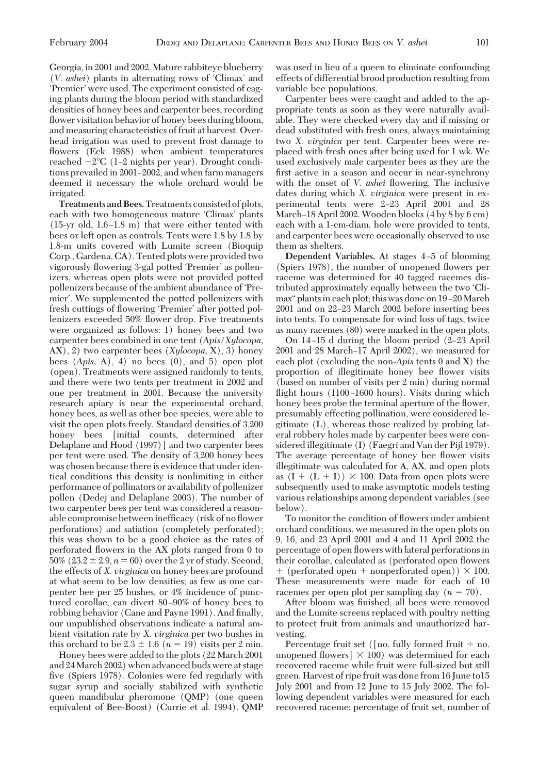Georgia, in 2001 and 2002. Mature rabbiteye blueberry (*V. ashei*) plants in alternating rows of 'Climax' and 'Premier' were used. The experiment consisted of caging plants during the bloom period with standardized densities of honey bees and carpenter bees, recording flower visitation behavior of honey bees during bloom, and measuring characteristics of fruit at harvest. Overhead irrigation was used to prevent frost damage to ßowers (Eck 1988) when ambient temperatures reached  $-2^{\circ}\text{C}$  (1–2 nights per year). Drought conditions prevailed in 2001–2002, and when farm managers deemed it necessary the whole orchard would be irrigated.

**Treatments and Bees.**Treatments consisted of plots, each with two homogeneous mature 'Climax' plants  $(15\text{-yr old}, 1.6-1.8 \text{ m})$  that were either tented with bees or left open as controls. Tents were 1.8 by 1.8 by 1.8-m units covered with Lumite screen (Bioquip Corp., Gardena, CA). Tented plots were provided two vigorously flowering 3-gal potted 'Premier' as pollenizers, whereas open plots were not provided potted pollenizers because of the ambient abundance of 'Premier'. We supplemented the potted pollenizers with fresh cuttings of flowering 'Premier' after potted pollenizers exceeded 50% ßower drop. Five treatments were organized as follows: 1) honey bees and two carpenter bees combined in one tent (*Apis/Xylocopa,* AX), 2) two carpenter bees (*Xylocopa,* X), 3) honey bees (*Apis,* A), 4) no bees (0), and 5) open plot (open). Treatments were assigned randomly to tents, and there were two tents per treatment in 2002 and one per treatment in 2001. Because the university research apiary is near the experimental orchard, honey bees, as well as other bee species, were able to visit the open plots freely. Standard densities of 3,200 honey bees [initial counts, determined after Delaplane and Hood (1997)] and two carpenter bees per tent were used. The density of 3,200 honey bees was chosen because there is evidence that under identical conditions this density is nonlimiting in either performance of pollinators or availability of pollenizer pollen (Dedej and Delaplane 2003). The number of two carpenter bees per tent was considered a reasonable compromise between inefficacy (risk of no flower perforations) and satiation (completely perforated); this was shown to be a good choice as the rates of perforated ßowers in the AX plots ranged from 0 to 50%  $(23.2 \pm 2.9, n = 60)$  over the 2 yr of study. Second, the effects of *X. virginica* on honey bees are profound at what seem to be low densities; as few as one carpenter bee per 25 bushes, or 4% incidence of punctured corollae, can divert 80–90% of honey bees to robbing behavior (Cane and Payne 1991). And finally, our unpublished observations indicate a natural ambient visitation rate by *X. virginica* per two bushes in this orchard to be  $2.3 \pm 1.6$  ( $n = 19$ ) visits per 2 min.

Honey bees were added to the plots (22 March 2001 and 24March 2002) when advanced buds were at stage five (Spiers 1978). Colonies were fed regularly with sugar syrup and socially stabilized with synthetic queen mandibular pheromone (QMP) (one queen equivalent of Bee-Boost) (Currie et al. 1994). QMP was used in lieu of a queen to eliminate confounding effects of differential brood production resulting from variable bee populations.

Carpenter bees were caught and added to the appropriate tents as soon as they were naturally available. They were checked every day and if missing or dead substituted with fresh ones, always maintaining two *X. virginica* per tent. Carpenter bees were replaced with fresh ones after being used for 1 wk. We used exclusively male carpenter bees as they are the first active in a season and occur in near-synchrony with the onset of *V. ashei* ßowering. The inclusive dates during which *X. virginica* were present in experimental tents were 2-23 April 2001 and 28 March–18 April 2002. Wooden blocks  $(4 \text{ by } 8 \text{ by } 6 \text{ cm})$ each with a 1-cm-diam. hole were provided to tents, and carpenter bees were occasionally observed to use them as shelters.

**Dependent Variables.** At stages 4-5 of blooming (Spiers 1978), the number of unopened ßowers per raceme was determined for 40 tagged racemes distributed approximately equally between the two 'Climax" plants in each plot; this was done on 19–20 March 2001 and on 22–23 March 2002 before inserting bees into tents. To compensate for wind loss of tags, twice as many racemes (80) were marked in the open plots.

On  $14-15$  d during the bloom period  $(2-23$  April 2001 and 28 March-17 April 2002), we measured for each plot (excluding the non-*Apis* tents 0 and X) the proportion of illegitimate honey bee ßower visits (based on number of visits per 2 min) during normal flight hours (1100-1600 hours). Visits during which honey bees probe the terminal aperture of the flower, presumably effecting pollination, were considered legitimate (L), whereas those realized by probing lateral robbery holes made by carpenter bees were considered illegitimate (I) (Faegri and Van der Pijl 1979). The average percentage of honey bee ßower visits illegitimate was calculated for A, AX, and open plots as  $(I + (L + I)) \times 100$ . Data from open plots were subsequently used to make asymptotic models testing various relationships among dependent variables (see below).

To monitor the condition of ßowers under ambient orchard conditions, we measured in the open plots on 9, 16, and 23 April 2001 and 4 and 11 April 2002 the percentage of open ßowers with lateral perforations in their corollae, calculated as (perforated open ßowers  $+$  (perforated open  $+$  nonperforated open))  $\times$  100. These measurements were made for each of 10 racemes per open plot per sampling day  $(n = 70)$ .

After bloom was finished, all bees were removed and the Lumite screens replaced with poultry netting to protect fruit from animals and unauthorized harvesting.

Percentage fruit set ([no. fully formed fruit  $\div$  no. unopened flowers]  $\times$  100) was determined for each recovered raceme while fruit were full-sized but still green. Harvest of ripe fruit was done from 16 June to15 July 2001 and from 12 June to 15 July 2002. The following dependent variables were measured for each recovered raceme: percentage of fruit set, number of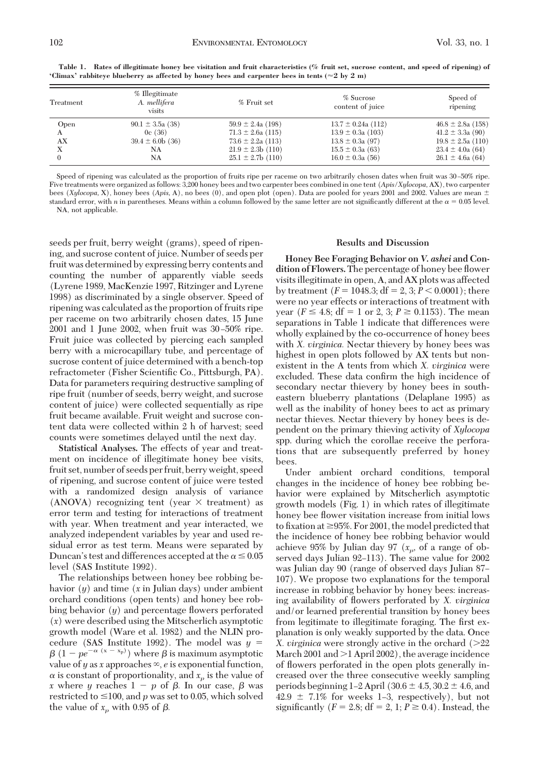| Treatment | % Illegitimate<br>A. mellifera<br>visits | % Fruit set           | % Sucrose<br>content of juice | Speed of<br>ripening  |
|-----------|------------------------------------------|-----------------------|-------------------------------|-----------------------|
| Open      | $90.1 \pm 3.5a(38)$                      | $59.9 \pm 2.4a(198)$  | $13.7 \pm 0.24a(112)$         | $46.8 \pm 2.8a$ (158) |
| A         | 0c(36)                                   | $71.3 \pm 2.6a$ (115) | $13.9 \pm 0.3a(103)$          | $41.2 \pm 3.3a$ (90)  |
| АX        | $39.4 \pm 6.0$ b (36)                    | $73.6 \pm 2.2a(113)$  | $13.8 \pm 0.3a$ (97)          | $19.8 \pm 2.5a(110)$  |
| Х         | NA                                       | $21.9 \pm 2.3b$ (110) | $15.5 \pm 0.3a(63)$           | $23.4 \pm 4.0a(64)$   |
|           | NA                                       | $25.1 \pm 2.7b$ (110) | $16.0 \pm 0.3a(56)$           | $26.1 \pm 4.6a(64)$   |

**Table 1. Rates of illegitimate honey bee visitation and fruit characteristics (% fruit set, sucrose content, and speed of ripening) of 'Climax' rabbiteye blueberry as affected by honey bees and carpenter bees in tents (** $\approx$  **2 by 2 m)** 

Speed of ripening was calculated as the proportion of fruits ripe per raceme on two arbitrarily chosen dates when fruit was 30 Ð50% ripe. Five treatments were organized as follows: 3,200 honey bees and two carpenter bees combined in one tent (*Apis/Xylocopa,* AX), two carpenter bees (*Xylocopa*, X), honey bees (*Apis*, A), no bees (0), and open plot (open). Data are pooled for years 2001 and 2002. Values are mean  $\pm$ standard error, with *n* in parentheses. Means within a column followed by the same letter are not significantly different at the  $\alpha = 0.05$  level.

NA, not applicable.

seeds per fruit, berry weight (grams), speed of ripening, and sucrose content of juice. Number of seeds per fruit was determined by expressing berry contents and counting the number of apparently viable seeds (Lyrene 1989, MacKenzie 1997, Ritzinger and Lyrene 1998) as discriminated by a single observer. Speed of ripening was calculated as the proportion of fruits ripe per raceme on two arbitrarily chosen dates, 15 June  $2001$  and 1 June  $2002$ , when fruit was  $30-50\%$  ripe. Fruit juice was collected by piercing each sampled berry with a microcapillary tube, and percentage of sucrose content of juice determined with a bench-top refractometer (Fisher Scientific Co., Pittsburgh, PA). Data for parameters requiring destructive sampling of ripe fruit (number of seeds, berry weight, and sucrose content of juice) were collected sequentially as ripe fruit became available. Fruit weight and sucrose content data were collected within 2 h of harvest; seed counts were sometimes delayed until the next day.

**Statistical Analyses.** The effects of year and treatment on incidence of illegitimate honey bee visits, fruit set, number of seeds per fruit, berry weight, speed of ripening, and sucrose content of juice were tested with a randomized design analysis of variance (ANOVA) recognizing tent (year  $\times$  treatment) as error term and testing for interactions of treatment with year. When treatment and year interacted, we analyzed independent variables by year and used residual error as test term. Means were separated by Duncan's test and differences accepted at the  $\alpha$   $\leq$  0.05 level (SAS Institute 1992).

The relationships between honey bee robbing behavior (*y*) and time (*x* in Julian days) under ambient orchard conditions (open tents) and honey bee robbing behavior (*y*) and percentage ßowers perforated (*x*) were described using the Mitscherlich asymptotic growth model (Ware et al. 1982) and the NLIN procedure (SAS Institute 1992). The model was *y*  $\beta(1 - pe^{-\alpha(x - x_p)})$  where  $\beta$  is maximum asymptotic value of  $y$  as  $x$  approaches  $\infty$ ,  $e$  is exponential function,  $\alpha$  is constant of proportionality, and  $x_p$  is the value of *x* where *y* reaches  $1 - p$  of  $\beta$ . In our case,  $\beta$  was restricted to  $\leq 100$ , and *p* was set to 0.05, which solved the value of  $x_p$  with 0.95 of  $\beta$ .

## **Results and Discussion**

**Honey Bee Foraging Behavior on** *V. ashei* **and Condition of Flowers.**The percentage of honey bee ßower visits illegitimate in open, A, and AX plots was affected by treatment  $(F = 1048.3; df = 2, 3; P < 0.0001)$ ; there were no year effects or interactions of treatment with year ( $F \le 4.8$ ; df = 1 or 2, 3;  $P \ge 0.1153$ ). The mean separations in Table 1 indicate that differences were wholly explained by the co-occurrence of honey bees with *X. virginica.* Nectar thievery by honey bees was highest in open plots followed by AX tents but nonexistent in the A tents from which *X. virginica* were excluded. These data confirm the high incidence of secondary nectar thievery by honey bees in southeastern blueberry plantations (Delaplane 1995) as well as the inability of honey bees to act as primary nectar thieves. Nectar thievery by honey bees is dependent on the primary thieving activity of *Xylocopa* spp. during which the corollae receive the perforations that are subsequently preferred by honey bees.

Under ambient orchard conditions, temporal changes in the incidence of honey bee robbing behavior were explained by Mitscherlich asymptotic growth models (Fig. 1) in which rates of illegitimate honey bee ßower visitation increase from initial lows to fixation at  $\geq$ 95%. For 2001, the model predicted that the incidence of honey bee robbing behavior would achieve 95% by Julian day 97  $(x_p, \text{ of a range of ob-}$ served days Julian 92-113). The same value for 2002 was Julian day 90 (range of observed days Julian 87– 107). We propose two explanations for the temporal increase in robbing behavior by honey bees: increasing availability of ßowers perforated by *X. virginica* and/or learned preferential transition by honey bees from legitimate to illegitimate foraging. The first explanation is only weakly supported by the data. Once *X. virginica* were strongly active in the orchard ( $>22$ March 2001 and  $>1$  April 2002), the average incidence of ßowers perforated in the open plots generally increased over the three consecutive weekly sampling periods beginning 1–2 April (30.6  $\pm$  4.5, 30.2  $\pm$  4.6, and  $42.9 \pm 7.1\%$  for weeks 1-3, respectively), but not significantly  $(F = 2.8; df = 2, 1; P \ge 0.4)$ . Instead, the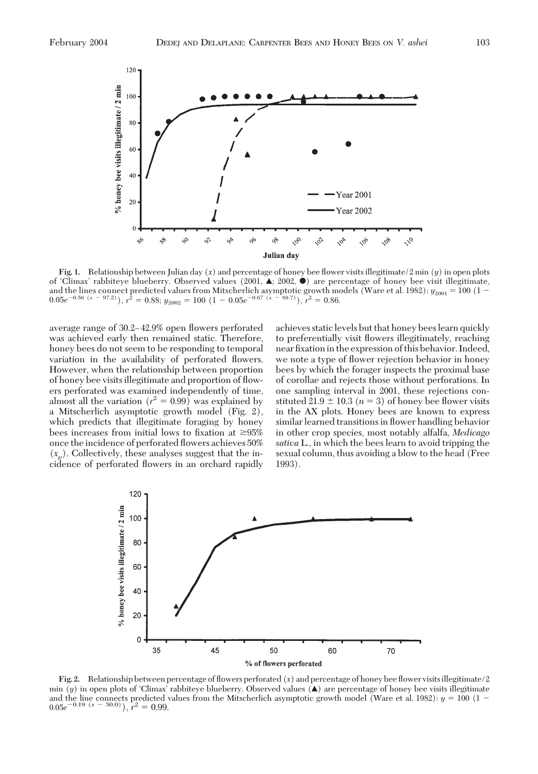

**Fig. 1.** Relationship between Julian day (*x*) and percentage of honey bee ßower visits illegitimate/2min (*y*) in open plots of 'Climax' rabbiteye blueberry. Observed values (2001,  $\blacktriangle$ ; 2002,  $\blacklozenge$ ) are percentage of honey bee visit illegitimate, and the lines connect predicted values from Mitscherlich asymptotic growth models (Ware et al. 1982):  $y_{2001} = 100$  (1 –  $0.05e^{-0.56(x - 97.2)}$ ,  $r^2 = 0.88$ ;  $y_{2002} = 100(1 - 0.05e^{-0.67(x - 89.7)})$ ,  $r^2 = 0.86$ .

average range of 30.2–42.9% open flowers perforated was achieved early then remained static. Therefore, honey bees do not seem to be responding to temporal variation in the availability of perforated ßowers. However, when the relationship between proportion of honey bee visits illegitimate and proportion of ßowers perforated was examined independently of time, almost all the variation  $(r^2 = 0.99)$  was explained by a Mitscherlich asymptotic growth model (Fig. 2), which predicts that illegitimate foraging by honey bees increases from initial lows to fixation at  $\geq 95\%$ once the incidence of perforated ßowers achieves 50%  $(x_p)$ . Collectively, these analyses suggest that the incidence of perforated ßowers in an orchard rapidly achieves static levels but that honey bees learn quickly to preferentially visit ßowers illegitimately, reaching near fixation in the expression of this behavior. Indeed, we note a type of ßower rejection behavior in honey bees by which the forager inspects the proximal base of corollae and rejects those without perforations. In one sampling interval in 2001, these rejections constituted  $21.9 \pm 10.3$  ( $n = 3$ ) of honey bee flower visits in the AX plots. Honey bees are known to express similar learned transitions in ßower handling behavior in other crop species, most notably alfalfa, *Medicago sativa* L., in which the bees learn to avoid tripping the sexual column, thus avoiding a blow to the head (Free 1993).



**Fig. 2.** Relationship between percentage of ßowers perforated (*x*) and percentage of honey bee ßower visitsillegitimate/2 min  $(y)$  in open plots of 'Climax' rabbiteye blueberry. Observed values  $(\triangle)$  are percentage of honey bee visits illegitimate and the line connects predicted values from the Mitscherlich asymptotic growth model (Ware et al. 1982):  $y = 100$  (1 –  $(0.05e^{-0.19(x - 50.0)}), r^2 = 0.99.$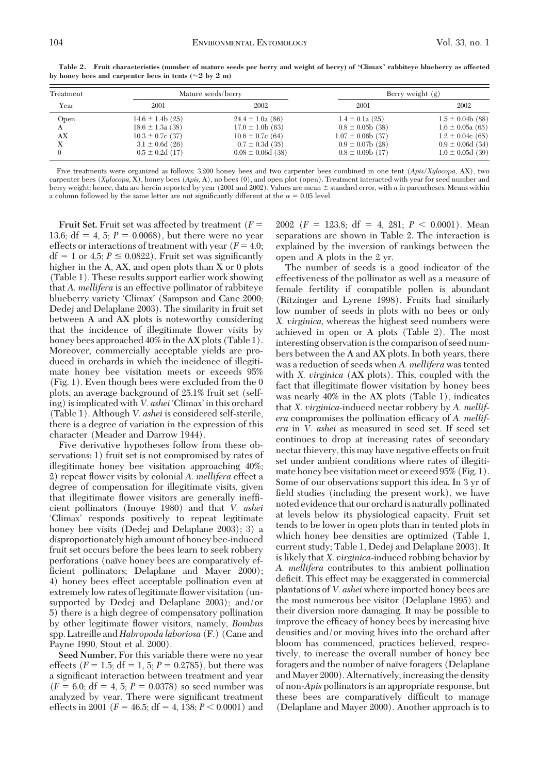| Treatment<br>Year | Mature seeds/berry                                                                                                 |                                                                                                                     | Berry weight $(g)$                                                                                                  |                                                                                                                    |
|-------------------|--------------------------------------------------------------------------------------------------------------------|---------------------------------------------------------------------------------------------------------------------|---------------------------------------------------------------------------------------------------------------------|--------------------------------------------------------------------------------------------------------------------|
|                   | 2001                                                                                                               | 2002                                                                                                                | 2001                                                                                                                | 2002                                                                                                               |
| Open<br>AX        | $14.6 \pm 1.4b$ (25)<br>$18.6 \pm 1.3a(38)$<br>$10.3 \pm 0.7$ c (37)<br>$3.1 \pm 0.6d$ (26)<br>$0.5 \pm 0.2d$ (17) | $24.4 \pm 1.0a(86)$<br>$17.0 \pm 1.0b(63)$<br>$10.6 \pm 0.7$ c (64)<br>$0.7 \pm 0.3d$ (35)<br>$0.08 \pm 0.06d$ (38) | $1.4 \pm 0.1a(25)$<br>$0.8 \pm 0.05$ b (38)<br>$1.07 \pm 0.06b(37)$<br>$0.9 \pm 0.07$ b (28)<br>$0.8 \pm 0.09b(17)$ | $1.5 \pm 0.04b(88)$<br>$1.6 \pm 0.05a(65)$<br>$1.2 \pm 0.04c$ (65)<br>$0.9 \pm 0.06d$ (34)<br>$1.0 \pm 0.05d$ (39) |

**Table 2. Fruit characteristies (number of mature seeds per berry and weight of berry) of 'Climax' rabbiteye blueberry as affected** by honey bees and carpenter bees in tents  $(\approx 2$  by  $2$  m)

Five treatments were organized as follows: 3,200 honey bees and two carpenter bees combined in one tent (*Apis/Xylocopa,* AX), two carpenter bees (*Xylocopa,* X), honey bees (*Apis,* A), no bees (0), and open plot (open). Treatment interacted with year for seed number and berry weight; hence, data are herein reported by year (2001 and 2002). Values are mean  $\pm$  standard error, with *n* in parentheses. Means within a column followed by the same letter are not significantly different at the  $\alpha = 0.05$  level.

**Fruit Set.** Fruit set was affected by treatment (*F* 13.6;  $df = 4$ , 5;  $P = 0.0068$ ), but there were no year effects or interactions of treatment with year  $(F = 4.0;$  $df = 1$  or 4,5;  $P \le 0.0822$ ). Fruit set was significantly higher in the A, AX, and open plots than X or 0 plots (Table 1). These results support earlier work showing that *A. mellifera* is an effective pollinator of rabbiteye blueberry variety 'Climax' (Sampson and Cane 2000; Dedej and Delaplane 2003). The similarity in fruit set between A and AX plots is noteworthy considering that the incidence of illegitimate ßower visits by honey bees approached 40% in the AX plots (Table 1). Moreover, commercially acceptable yields are produced in orchards in which the incidence of illegitimate honey bee visitation meets or exceeds 95% (Fig. 1). Even though bees were excluded from the 0 plots, an average background of 25.1% fruit set (selfing) is implicated with *V. ashei* 'Climax' in this orchard (Table 1). Although *V. ashei* is considered self-sterile, there is a degree of variation in the expression of this character (Meader and Darrow 1944).

Five derivative hypotheses follow from these observations: 1) fruit set is not compromised by rates of illegitimate honey bee visitation approaching 40%; 2) repeat ßower visits by colonial *A. mellifera* effect a degree of compensation for illegitimate visits, given that illegitimate ßower visitors are generally inefÞcient pollinators (Inouye 1980) and that *V. ashei* 'Climax' responds positively to repeat legitimate honey bee visits (Dedej and Delaplane 2003); 3) a disproportionately high amount of honey bee-induced fruit set occurs before the bees learn to seek robbery perforations (naïve honey bees are comparatively efficient pollinators; Delaplane and Mayer 2000); 4) honey bees effect acceptable pollination even at extremely low rates of legitimate ßower visitation (unsupported by Dedej and Delaplane 2003); and/or 5) there is a high degree of compensatory pollination by other legitimate ßower visitors, namely, *Bombus* spp. Latreille and *Habropoda laboriosa* (F.) (Cane and Payne 1990, Stout et al. 2000).

**Seed Number.** For this variable there were no year effects  $(F = 1.5; df = 1, 5; P = 0.2785)$ , but there was a significant interaction between treatment and year  $(F = 6.0; df = 4, 5; P = 0.0378)$  so seed number was analyzed by year. There were significant treatment effects in 2001 ( $F = 46.5$ ; df = 4, 138;  $P < 0.0001$ ) and 2002 ( $F = 123.8$ ; df = 4, 281;  $P < 0.0001$ ). Mean separations are shown in Table 2. The interaction is explained by the inversion of rankings between the open and A plots in the 2yr.

The number of seeds is a good indicator of the effectiveness of the pollinator as well as a measure of female fertility if compatible pollen is abundant (Ritzinger and Lyrene 1998). Fruits had similarly low number of seeds in plots with no bees or only *X. virginica,* whereas the highest seed numbers were achieved in open or A plots (Table 2). The most interesting observation is the comparison of seed numbers between the A and AX plots. In both years, there was a reduction of seeds when *A. mellifera* was tented with *X. virginica* (AX plots). This, coupled with the fact that illegitimate ßower visitation by honey bees was nearly 40% in the AX plots (Table 1), indicates that *X. virginica-*induced nectar robbery by *A. mellif*era compromises the pollination efficacy of *A. mellifera* in *V. ashei* as measured in seed set. If seed set continues to drop at increasing rates of secondary nectar thievery, this may have negative effects on fruit set under ambient conditions where rates of illegitimate honey bee visitation meet or exceed 95% (Fig. 1). Some of our observations support this idea. In 3 yr of field studies (including the present work), we have noted evidence that our orchardis naturally pollinated at levels below its physiological capacity. Fruit set tends to be lower in open plots than in tented plots in which honey bee densities are optimized (Table 1, current study; Table 1, Dedej and Delaplane 2003). It is likely that *X. virginica-*induced robbing behavior by *A. mellifera* contributes to this ambient pollination deficit. This effect may be exaggerated in commercial plantations of *V. ashei* where imported honey bees are the most numerous bee visitor (Delaplane 1995) and their diversion more damaging. It may be possible to improve the efficacy of honey bees by increasing hive densities and/or moving hives into the orchard after bloom has commenced, practices believed, respectively, to increase the overall number of honey bee foragers and the number of naïve foragers (Delaplane and Mayer 2000). Alternatively, increasing the density of non-*Apis* pollinators is an appropriate response, but these bees are comparatively difficult to manage (Delaplane and Mayer 2000). Another approach is to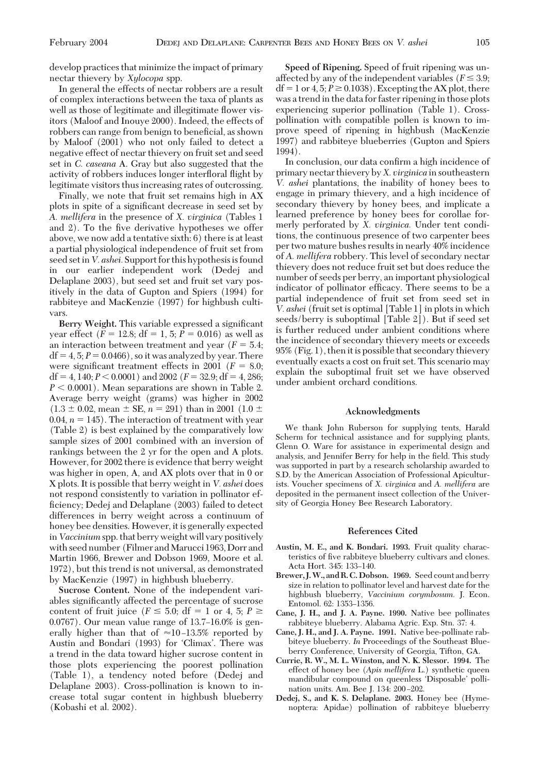develop practices that minimize the impact of primary nectar thievery by *Xylocopa* spp.

In general the effects of nectar robbers are a result of complex interactions between the taxa of plants as well as those of legitimate and illegitimate flower visitors (Maloof and Inouye 2000). Indeed, the effects of robbers can range from benign to beneficial, as shown by Maloof (2001) who not only failed to detect a negative effect of nectar thievery on fruit set and seed set in *C. caseana* A. Gray but also suggested that the activity of robbers induces longer interfloral flight by legitimate visitors thus increasing rates of outcrossing.

Finally, we note that fruit set remains high in AX plots in spite of a significant decrease in seed set by *A. mellifera* in the presence of *X. virginica* (Tables 1 and 2). To the five derivative hypotheses we offer above, we now add a tentative sixth: 6) there is at least a partial physiological independence of fruit set from seed set in *V. ashei*. Support for this hypothesis is found in our earlier independent work (Dedej and Delaplane 2003), but seed set and fruit set vary positively in the data of Gupton and Spiers (1994) for rabbiteye and MacKenzie (1997) for highbush cultivars.

**Berry Weight.** This variable expressed a significant year effect  $(F = 12.8; df = 1, 5; P = 0.016)$  as well as an interaction between treatment and year  $(F = 5.4;$  $df = 4, 5; P = 0.0466$ , so it was analyzed by year. There were significant treatment effects in 2001 ( $F = 8.0$ ;  $df = 4, 140; P < 0.0001$ ) and 2002 ( $F = 32.9; df = 4, 286;$  $P < 0.0001$ ). Mean separations are shown in Table 2. Average berry weight (grams) was higher in 2002  $(1.3 \pm 0.02, \text{mean} \pm \text{SE}, n = 291)$  than in 2001 (1.0  $\pm$ 0.04,  $n = 145$ ). The interaction of treatment with year (Table 2) is best explained by the comparatively low sample sizes of 2001 combined with an inversion of rankings between the 2yr for the open and A plots. However, for 2002 there is evidence that berry weight was higher in open, A, and AX plots over that in 0 or X plots. It is possible that berry weight in *V. ashei* does not respond consistently to variation in pollinator efficiency; Dedej and Delaplane (2003) failed to detect differences in berry weight across a continuum of honey bee densities. However, it is generally expected in *Vaccinium* spp. that berry weight will vary positively with seed number (Filmer and Marucci 1963, Dorr and Martin 1966, Brewer and Dobson 1969, Moore et al. 1972), but this trend is not universal, as demonstrated by MacKenzie (1997) in highbush blueberry.

**Sucrose Content.** None of the independent variables significantly affected the percentage of sucrose content of fruit juice ( $F \le 5.0$ ; df = 1 or 4, 5;  $P \ge$  $0.0767$ ). Our mean value range of  $13.7-16.0\%$  is generally higher than that of  $\approx$ 10-13.5% reported by Austin and Bondari (1993) for 'Climax'. There was a trend in the data toward higher sucrose content in those plots experiencing the poorest pollination (Table 1), a tendency noted before (Dedej and Delaplane 2003). Cross-pollination is known to increase total sugar content in highbush blueberry (Kobashi et al. 2002).

**Speed of Ripening.** Speed of fruit ripening was unaffected by any of the independent variables ( $F \leq 3.9$ ;  $df = 1$  or 4, 5;  $P \ge 0.1038$ ). Excepting the AX plot, there was a trend in the data for faster ripening in those plots experiencing superior pollination (Table 1). Crosspollination with compatible pollen is known to improve speed of ripening in highbush (MacKenzie 1997) and rabbiteye blueberries (Gupton and Spiers 1994).

In conclusion, our data confirm a high incidence of primary nectar thievery by*X. virginica* in southeastern *V. ashei* plantations, the inability of honey bees to engage in primary thievery, and a high incidence of secondary thievery by honey bees, and implicate a learned preference by honey bees for corollae formerly perforated by *X. virginica.* Under tent conditions, the continuous presence of two carpenter bees per two mature bushes results in nearly 40% incidence of *A. mellifera* robbery. This level of secondary nectar thievery does not reduce fruit set but does reduce the number of seeds per berry, an important physiological indicator of pollinator efficacy. There seems to be a partial independence of fruit set from seed set in *V. ashei* (fruit set is optimal [Table 1] in plots in which seeds/berry is suboptimal [Table 2]). But if seed set is further reduced under ambient conditions where the incidence of secondary thievery meets or exceeds 95% (Fig. 1), then it is possible that secondary thievery eventually exacts a cost on fruit set. This scenario may explain the suboptimal fruit set we have observed under ambient orchard conditions.

#### **Acknowledgments**

We thank John Ruberson for supplying tents, Harald Scherm for technical assistance and for supplying plants, Glenn O. Ware for assistance in experimental design and analysis, and Jennifer Berry for help in the field. This study was supported in part by a research scholarship awarded to S.D. by the American Association of Professional Apiculturists. Voucher specimens of *X. virginica* and *A. mellifera* are deposited in the permanent insect collection of the University of Georgia Honey Bee Research Laboratory.

#### **References Cited**

- **Austin, M. E., and K. Bondari. 1993.** Fruit quality characteristics of five rabbiteye blueberry cultivars and clones. Acta Hort. 345: 133-140.
- **Brewer, J.W., and R. C.Dobson. 1969.** Seed count and berry size in relation to pollinator level and harvest date for the highbush blueberry, *Vaccinium corymbosum.* J. Econ. Entomol. 62: 1353-1356.
- **Cane, J. H., and J. A. Payne. 1990.** Native bee pollinates rabbiteye blueberry. Alabama Agric. Exp. Stn. 37: 4.
- **Cane, J. H., and J. A. Payne. 1991.** Native bee-pollinate rabbiteye blueberry. *In* Proceedings of the Southeast Blueberry Conference, University of Georgia, Tifton, GA.
- **Currie, R. W., M. L. Winston, and N. K. Slessor. 1994.** The effect of honey bee (*Apis mellifera* L.) synthetic queen mandibular compound on queenless 'Disposable' pollination units. Am. Bee J. 134: 200-202.
- **Dedej, S., and K. S. Delaplane. 2003.** Honey bee (Hymenoptera: Apidae) pollination of rabbiteye blueberry